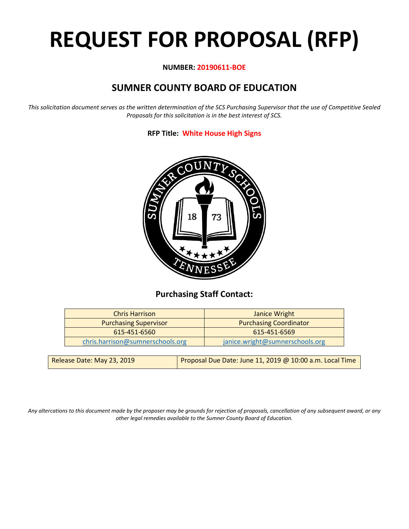# **REQUEST FOR PROPOSAL (RFP)**

# **NUMBER: 20190611-BOE**

# **SUMNER COUNTY BOARD OF EDUCATION**

*This solicitation document serves as the written determination of the SCS Purchasing Supervisor that the use of Competitive Sealed Proposals for this solicitation is in the best interest of SCS.*

**RFP Title: White House High Signs**



# **Purchasing Staff Contact:**

| <b>Chris Harrison</b>            | Janice Wright                   |
|----------------------------------|---------------------------------|
| <b>Purchasing Supervisor</b>     | <b>Purchasing Coordinator</b>   |
| 615-451-6560                     | 615-451-6569                    |
| chris.harrison@sumnerschools.org | janice.wright@sumnerschools.org |
|                                  |                                 |

*Any altercations to this document made by the proposer may be grounds for rejection of proposals, cancellation of any subsequent award, or any other legal remedies available to the Sumner County Board of Education.*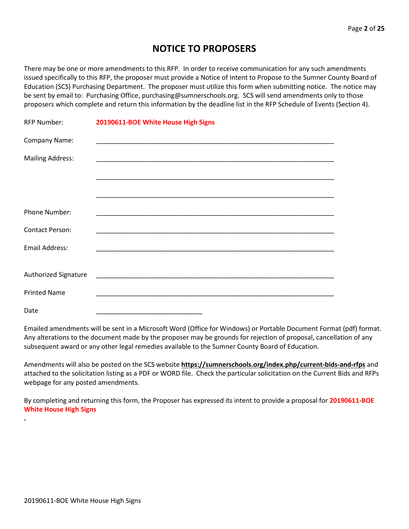# **NOTICE TO PROPOSERS**

There may be one or more amendments to this RFP. In order to receive communication for any such amendments issued specifically to this RFP, the proposer must provide a Notice of Intent to Propose to the Sumner County Board of Education (SCS) Purchasing Department. The proposer must utilize this form when submitting notice. The notice may be sent by email to: Purchasing Office, purchasing@sumnerschools.org. SCS will send amendments only to those proposers which complete and return this information by the deadline list in the RFP Schedule of Events (Section 4).

| <b>RFP Number:</b>      | 20190611-BOE White House High Signs |
|-------------------------|-------------------------------------|
| Company Name:           |                                     |
| <b>Mailing Address:</b> |                                     |
|                         |                                     |
|                         |                                     |
| Phone Number:           |                                     |
| <b>Contact Person:</b>  |                                     |
| Email Address:          |                                     |
|                         |                                     |
| Authorized Signature    |                                     |
| <b>Printed Name</b>     |                                     |
| Date                    |                                     |

Emailed amendments will be sent in a Microsoft Word (Office for Windows) or Portable Document Format (pdf) format. Any alterations to the document made by the proposer may be grounds for rejection of proposal, cancellation of any subsequent award or any other legal remedies available to the Sumner County Board of Education.

Amendments will also be posted on the SCS website **https://sumnerschools.org/index.php/current-bids-and-rfps** and attached to the solicitation listing as a PDF or WORD file. Check the particular solicitation on the Current Bids and RFPs webpage for any posted amendments.

By completing and returning this form, the Proposer has expressed its intent to provide a proposal for **20190611-BOE White House High Signs**

**.**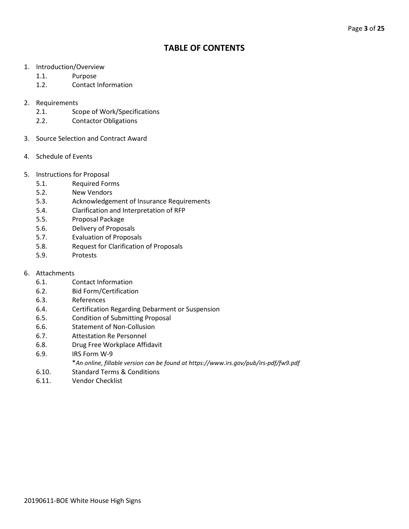# **TABLE OF CONTENTS**

- 1. Introduction/Overview
	- 1.1. Purpose
	- 1.2. Contact Information
- 2. Requirements
	- 2.1. Scope of Work/Specifications
	- 2.2. Contactor Obligations
- 3. Source Selection and Contract Award
- 4. Schedule of Events
- 5. Instructions for Proposal
	- 5.1. Required Forms
	- 5.2. New Vendors
	- 5.3. Acknowledgement of Insurance Requirements
	- 5.4. Clarification and Interpretation of RFP
	- 5.5. Proposal Package
	- 5.6. Delivery of Proposals
	- 5.7. Evaluation of Proposals
	- 5.8. Request for Clarification of Proposals
	- 5.9. Protests
- 6. Attachments
	- 6.1. Contact Information
	- 6.2. Bid Form/Certification
	- 6.3. References
	- 6.4. Certification Regarding Debarment or Suspension
	- 6.5. Condition of Submitting Proposal
	- 6.6. Statement of Non-Collusion
	- 6.7. Attestation Re Personnel
	- 6.8. Drug Free Workplace Affidavit
	- 6.9. IRS Form W-9
		- \**An online, fillable version can be found at https://www.irs.gov/pub/irs-pdf/fw9.pdf*
	- 6.10. Standard Terms & Conditions
	- 6.11. Vendor Checklist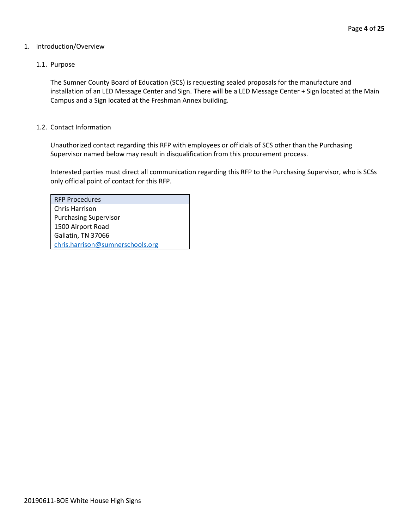# 1. Introduction/Overview

# 1.1. Purpose

The Sumner County Board of Education (SCS) is requesting sealed proposals for the manufacture and installation of an LED Message Center and Sign. There will be a LED Message Center + Sign located at the Main Campus and a Sign located at the Freshman Annex building.

## 1.2. Contact Information

Unauthorized contact regarding this RFP with employees or officials of SCS other than the Purchasing Supervisor named below may result in disqualification from this procurement process.

Interested parties must direct all communication regarding this RFP to the Purchasing Supervisor, who is SCSs only official point of contact for this RFP.

| <b>RFP Procedures</b>            |
|----------------------------------|
| Chris Harrison                   |
| <b>Purchasing Supervisor</b>     |
| 1500 Airport Road                |
| Gallatin, TN 37066               |
| chris.harrison@sumnerschools.org |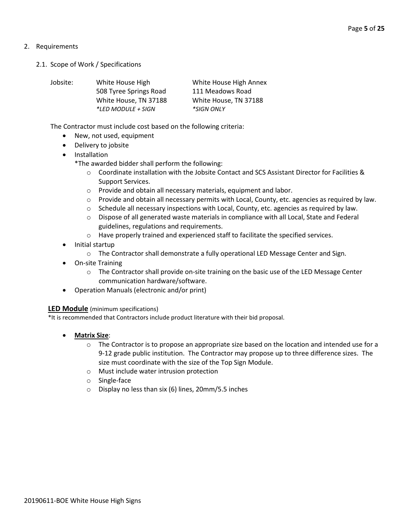# 2. Requirements

2.1. Scope of Work / Specifications

| Jobsite: | White House High          | White House High Annex |
|----------|---------------------------|------------------------|
|          | 508 Tyree Springs Road    | 111 Meadows Road       |
|          | White House, TN 37188     | White House, TN 37188  |
|          | <i>*LED MODULE + SIGN</i> | <i>*SIGN ONLY</i>      |

The Contractor must include cost based on the following criteria:

- New, not used, equipment
- Delivery to jobsite
- Installation

\*The awarded bidder shall perform the following:

- o Coordinate installation with the Jobsite Contact and SCS Assistant Director for Facilities & Support Services.
- o Provide and obtain all necessary materials, equipment and labor.
- o Provide and obtain all necessary permits with Local, County, etc. agencies as required by law.
- $\circ$  Schedule all necessary inspections with Local, County, etc. agencies as required by law.
- o Dispose of all generated waste materials in compliance with all Local, State and Federal guidelines, regulations and requirements.
- o Have properly trained and experienced staff to facilitate the specified services.
- Initial startup
	- o The Contractor shall demonstrate a fully operational LED Message Center and Sign.
- On-site Training
	- o The Contractor shall provide on-site training on the basic use of the LED Message Center communication hardware/software.
- Operation Manuals (electronic and/or print)

# **LED Module** (minimum specifications)

\*It is recommended that Contractors include product literature with their bid proposal.

- **Matrix Size**:
	- $\circ$  The Contractor is to propose an appropriate size based on the location and intended use for a 9-12 grade public institution. The Contractor may propose up to three difference sizes. The size must coordinate with the size of the Top Sign Module.
	- o Must include water intrusion protection
	- o Single-face
	- o Display no less than six (6) lines, 20mm/5.5 inches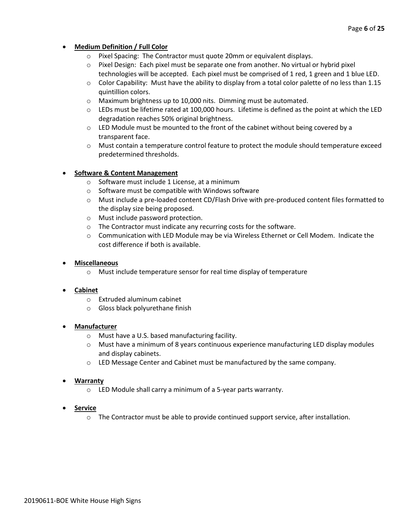# • **Medium Definition / Full Color**

- o Pixel Spacing: The Contractor must quote 20mm or equivalent displays.
- o Pixel Design: Each pixel must be separate one from another. No virtual or hybrid pixel technologies will be accepted. Each pixel must be comprised of 1 red, 1 green and 1 blue LED.
- $\circ$  Color Capability: Must have the ability to display from a total color palette of no less than 1.15 quintillion colors.
- o Maximum brightness up to 10,000 nits. Dimming must be automated.
- o LEDs must be lifetime rated at 100,000 hours. Lifetime is defined as the point at which the LED degradation reaches 50% original brightness.
- $\circ$  LED Module must be mounted to the front of the cabinet without being covered by a transparent face.
- o Must contain a temperature control feature to protect the module should temperature exceed predetermined thresholds.

# • **Software & Content Management**

- o Software must include 1 License, at a minimum
- o Software must be compatible with Windows software
- o Must include a pre-loaded content CD/Flash Drive with pre-produced content files formatted to the display size being proposed.
- o Must include password protection.
- o The Contractor must indicate any recurring costs for the software.
- o Communication with LED Module may be via Wireless Ethernet or Cell Modem. Indicate the cost difference if both is available.

# • **Miscellaneous**

o Must include temperature sensor for real time display of temperature

# • **Cabinet**

- o Extruded aluminum cabinet
- o Gloss black polyurethane finish

# • **Manufacturer**

- o Must have a U.S. based manufacturing facility.
- $\circ$  Must have a minimum of 8 years continuous experience manufacturing LED display modules and display cabinets.
- o LED Message Center and Cabinet must be manufactured by the same company.

# • **Warranty**

o LED Module shall carry a minimum of a 5-year parts warranty.

# • **Service**

o The Contractor must be able to provide continued support service, after installation.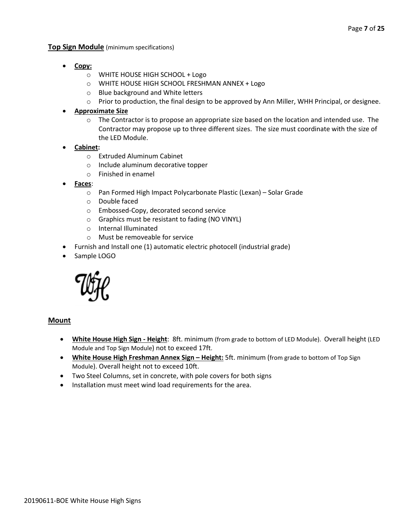**Top Sign Module** (minimum specifications)

- **Copy:**
	- o WHITE HOUSE HIGH SCHOOL + Logo
	- o WHITE HOUSE HIGH SCHOOL FRESHMAN ANNEX + Logo
	- o Blue background and White letters
	- o Prior to production, the final design to be approved by Ann Miller, WHH Principal, or designee.
- **Approximate Size**
	- $\circ$  The Contractor is to propose an appropriate size based on the location and intended use. The Contractor may propose up to three different sizes. The size must coordinate with the size of the LED Module.
- **Cabinet:**
	- o Extruded Aluminum Cabinet
	- o Include aluminum decorative topper
	- o Finished in enamel
- **Faces**:
	- o Pan Formed High Impact Polycarbonate Plastic (Lexan) Solar Grade
	- o Double faced
	- o Embossed-Copy, decorated second service
	- o Graphics must be resistant to fading (NO VINYL)
	- o Internal Illuminated
	- o Must be removeable for service
- Furnish and Install one (1) automatic electric photocell (industrial grade)
- Sample LOGO



# **Mount**

- **White House High Sign - Height**: 8ft. minimum (from grade to bottom of LED Module). Overall height (LED Module and Top Sign Module) not to exceed 17ft.
- **White House High Freshman Annex Sign – Height:** 5ft. minimum (from grade to bottom of Top Sign Module). Overall height not to exceed 10ft.
- Two Steel Columns, set in concrete, with pole covers for both signs
- Installation must meet wind load requirements for the area.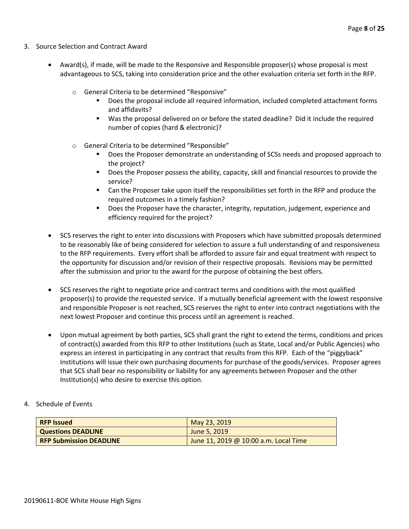- 3. Source Selection and Contract Award
	- Award(s), if made, will be made to the Responsive and Responsible proposer(s) whose proposal is most advantageous to SCS, taking into consideration price and the other evaluation criteria set forth in the RFP.
		- o General Criteria to be determined "Responsive"
			- Does the proposal include all required information, included completed attachment forms and affidavits?
			- Was the proposal delivered on or before the stated deadline? Did it include the required number of copies (hard & electronic)?
		- o General Criteria to be determined "Responsible"
			- Does the Proposer demonstrate an understanding of SCSs needs and proposed approach to the project?
			- **Does the Proposer possess the ability, capacity, skill and financial resources to provide the** service?
			- Can the Proposer take upon itself the responsibilities set forth in the RFP and produce the required outcomes in a timely fashion?
			- **Does the Proposer have the character, integrity, reputation, judgement, experience and** efficiency required for the project?
	- SCS reserves the right to enter into discussions with Proposers which have submitted proposals determined to be reasonably like of being considered for selection to assure a full understanding of and responsiveness to the RFP requirements. Every effort shall be afforded to assure fair and equal treatment with respect to the opportunity for discussion and/or revision of their respective proposals. Revisions may be permitted after the submission and prior to the award for the purpose of obtaining the best offers.
	- SCS reserves the right to negotiate price and contract terms and conditions with the most qualified proposer(s) to provide the requested service. If a mutually beneficial agreement with the lowest responsive and responsible Proposer is not reached, SCS reserves the right to enter into contract negotiations with the next lowest Proposer and continue this process until an agreement is reached.
	- Upon mutual agreement by both parties, SCS shall grant the right to extend the terms, conditions and prices of contract(s) awarded from this RFP to other Institutions (such as State, Local and/or Public Agencies) who express an interest in participating in any contract that results from this RFP. Each of the "piggyback" Institutions will issue their own purchasing documents for purchase of the goods/services. Proposer agrees that SCS shall bear no responsibility or liability for any agreements between Proposer and the other Institution(s) who desire to exercise this option.
- 4. Schedule of Events

| <b>RFP Issued</b>              | May 23, 2019                          |
|--------------------------------|---------------------------------------|
| <b>Questions DEADLINE</b>      | June 5, 2019                          |
| <b>RFP Submission DEADLINE</b> | June 11, 2019 @ 10:00 a.m. Local Time |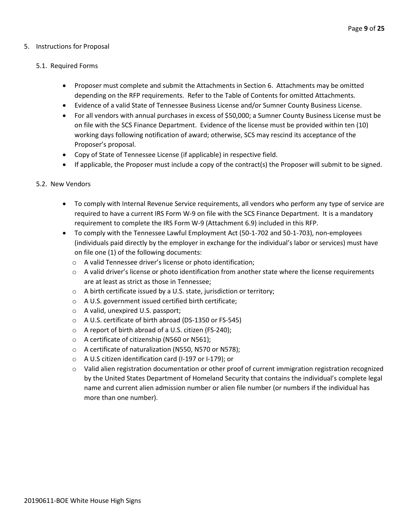# 5. Instructions for Proposal

# 5.1. Required Forms

- Proposer must complete and submit the Attachments in Section 6. Attachments may be omitted depending on the RFP requirements. Refer to the Table of Contents for omitted Attachments.
- Evidence of a valid State of Tennessee Business License and/or Sumner County Business License.
- For all vendors with annual purchases in excess of \$50,000; a Sumner County Business License must be on file with the SCS Finance Department. Evidence of the license must be provided within ten (10) working days following notification of award; otherwise, SCS may rescind its acceptance of the Proposer's proposal.
- Copy of State of Tennessee License (if applicable) in respective field.
- If applicable, the Proposer must include a copy of the contract(s) the Proposer will submit to be signed.

## 5.2. New Vendors

- To comply with Internal Revenue Service requirements, all vendors who perform any type of service are required to have a current IRS Form W-9 on file with the SCS Finance Department. It is a mandatory requirement to complete the IRS Form W-9 (Attachment 6.9) included in this RFP.
- To comply with the Tennessee Lawful Employment Act (50-1-702 and 50-1-703), non-employees (individuals paid directly by the employer in exchange for the individual's labor or services) must have on file one (1) of the following documents:
	- o A valid Tennessee driver's license or photo identification;
	- $\circ$  A valid driver's license or photo identification from another state where the license requirements are at least as strict as those in Tennessee;
	- o A birth certificate issued by a U.S. state, jurisdiction or territory;
	- o A U.S. government issued certified birth certificate;
	- o A valid, unexpired U.S. passport;
	- o A U.S. certificate of birth abroad (DS-1350 or FS-545)
	- o A report of birth abroad of a U.S. citizen (FS-240);
	- o A certificate of citizenship (N560 or N561);
	- o A certificate of naturalization (N550, N570 or N578);
	- o A U.S citizen identification card (I-197 or I-179); or
	- $\circ$  Valid alien registration documentation or other proof of current immigration registration recognized by the United States Department of Homeland Security that contains the individual's complete legal name and current alien admission number or alien file number (or numbers if the individual has more than one number).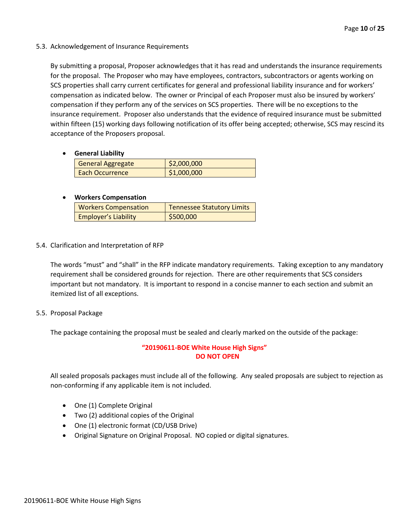5.3. Acknowledgement of Insurance Requirements

By submitting a proposal, Proposer acknowledges that it has read and understands the insurance requirements for the proposal. The Proposer who may have employees, contractors, subcontractors or agents working on SCS properties shall carry current certificates for general and professional liability insurance and for workers' compensation as indicated below. The owner or Principal of each Proposer must also be insured by workers' compensation if they perform any of the services on SCS properties. There will be no exceptions to the insurance requirement. Proposer also understands that the evidence of required insurance must be submitted within fifteen (15) working days following notification of its offer being accepted; otherwise, SCS may rescind its acceptance of the Proposers proposal.

• **General Liability**

| <b>General Aggregate</b> | \$2,000,000 |
|--------------------------|-------------|
| Each Occurrence          | \$1,000,000 |

# • **Workers Compensation**

| <b>Workers Compensation</b> | <b>Tennessee Statutory Limits</b> |
|-----------------------------|-----------------------------------|
| <b>Employer's Liability</b> | \$500,000                         |

5.4. Clarification and Interpretation of RFP

The words "must" and "shall" in the RFP indicate mandatory requirements. Taking exception to any mandatory requirement shall be considered grounds for rejection. There are other requirements that SCS considers important but not mandatory. It is important to respond in a concise manner to each section and submit an itemized list of all exceptions.

5.5. Proposal Package

The package containing the proposal must be sealed and clearly marked on the outside of the package:

# **"20190611-BOE White House High Signs" DO NOT OPEN**

All sealed proposals packages must include all of the following. Any sealed proposals are subject to rejection as non-conforming if any applicable item is not included.

- One (1) Complete Original
- Two (2) additional copies of the Original
- One (1) electronic format (CD/USB Drive)
- Original Signature on Original Proposal. NO copied or digital signatures.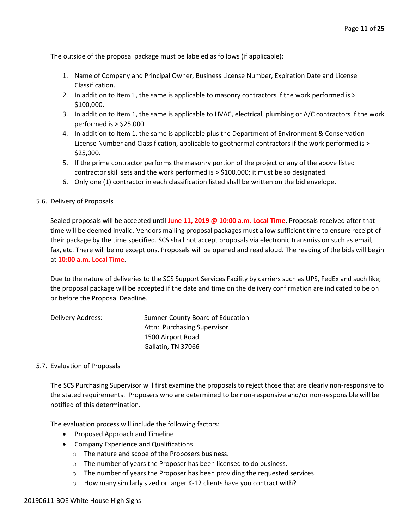The outside of the proposal package must be labeled as follows (if applicable):

- 1. Name of Company and Principal Owner, Business License Number, Expiration Date and License Classification.
- 2. In addition to Item 1, the same is applicable to masonry contractors if the work performed is > \$100,000.
- 3. In addition to Item 1, the same is applicable to HVAC, electrical, plumbing or A/C contractors if the work performed is > \$25,000.
- 4. In addition to Item 1, the same is applicable plus the Department of Environment & Conservation License Number and Classification, applicable to geothermal contractors if the work performed is > \$25,000.
- 5. If the prime contractor performs the masonry portion of the project or any of the above listed contractor skill sets and the work performed is > \$100,000; it must be so designated.
- 6. Only one (1) contractor in each classification listed shall be written on the bid envelope.
- 5.6. Delivery of Proposals

Sealed proposals will be accepted until **June 11, 2019 @ 10:00 a.m. Local Time**. Proposals received after that time will be deemed invalid. Vendors mailing proposal packages must allow sufficient time to ensure receipt of their package by the time specified. SCS shall not accept proposals via electronic transmission such as email, fax, etc. There will be no exceptions. Proposals will be opened and read aloud. The reading of the bids will begin at **10:00 a.m. Local Time**.

Due to the nature of deliveries to the SCS Support Services Facility by carriers such as UPS, FedEx and such like; the proposal package will be accepted if the date and time on the delivery confirmation are indicated to be on or before the Proposal Deadline.

| Delivery Address: | Sumner County Board of Education |
|-------------------|----------------------------------|
|                   | Attn: Purchasing Supervisor      |
|                   | 1500 Airport Road                |
|                   | Gallatin, TN 37066               |

# 5.7. Evaluation of Proposals

The SCS Purchasing Supervisor will first examine the proposals to reject those that are clearly non-responsive to the stated requirements. Proposers who are determined to be non-responsive and/or non-responsible will be notified of this determination.

The evaluation process will include the following factors:

- Proposed Approach and Timeline
- Company Experience and Qualifications
	- o The nature and scope of the Proposers business.
	- o The number of years the Proposer has been licensed to do business.
	- o The number of years the Proposer has been providing the requested services.
	- o How many similarly sized or larger K-12 clients have you contract with?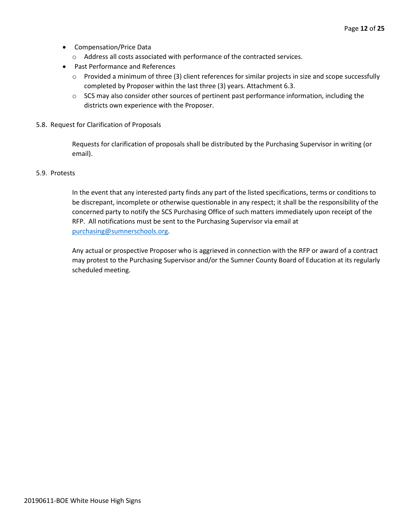- Compensation/Price Data
	- o Address all costs associated with performance of the contracted services.
- Past Performance and References
	- o Provided a minimum of three (3) client references for similar projects in size and scope successfully completed by Proposer within the last three (3) years. Attachment 6.3.
	- $\circ$  SCS may also consider other sources of pertinent past performance information, including the districts own experience with the Proposer.
- 5.8. Request for Clarification of Proposals

Requests for clarification of proposals shall be distributed by the Purchasing Supervisor in writing (or email).

## 5.9. Protests

In the event that any interested party finds any part of the listed specifications, terms or conditions to be discrepant, incomplete or otherwise questionable in any respect; it shall be the responsibility of the concerned party to notify the SCS Purchasing Office of such matters immediately upon receipt of the RFP. All notifications must be sent to the Purchasing Supervisor via email at [purchasing@sumnerschools.org.](mailto:purchasing@sumnerschools.org)

Any actual or prospective Proposer who is aggrieved in connection with the RFP or award of a contract may protest to the Purchasing Supervisor and/or the Sumner County Board of Education at its regularly scheduled meeting.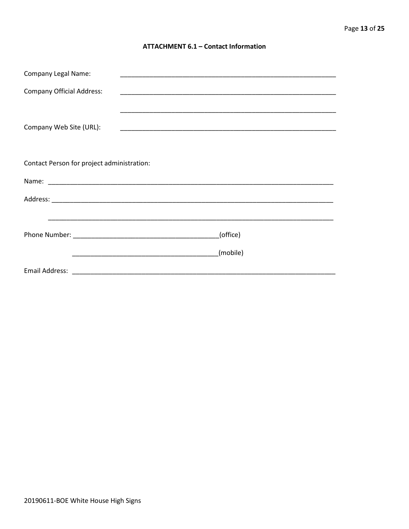# **ATTACHMENT 6.1 - Contact Information**

| <b>Company Legal Name:</b>                 |          |  |  |
|--------------------------------------------|----------|--|--|
| <b>Company Official Address:</b>           |          |  |  |
| Company Web Site (URL):                    |          |  |  |
| Contact Person for project administration: |          |  |  |
|                                            |          |  |  |
|                                            |          |  |  |
|                                            |          |  |  |
|                                            | (office) |  |  |
|                                            | (mobile) |  |  |
|                                            |          |  |  |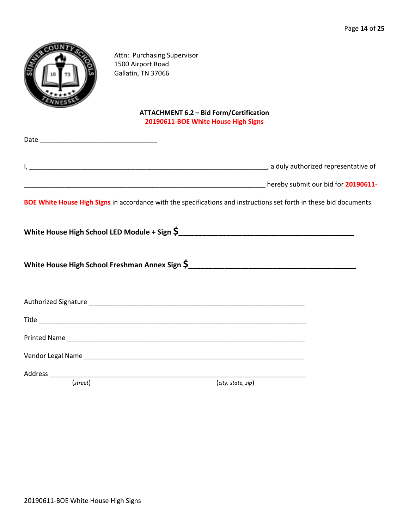|          | Attn: Purchasing Supervisor<br>1500 Airport Road<br>Gallatin, TN 37066 |                                                                                                                     |  |
|----------|------------------------------------------------------------------------|---------------------------------------------------------------------------------------------------------------------|--|
|          |                                                                        | <b>ATTACHMENT 6.2 - Bid Form/Certification</b>                                                                      |  |
|          |                                                                        | 20190611-BOE White House High Signs                                                                                 |  |
|          |                                                                        |                                                                                                                     |  |
|          |                                                                        |                                                                                                                     |  |
|          |                                                                        |                                                                                                                     |  |
|          |                                                                        |                                                                                                                     |  |
|          |                                                                        | BOE White House High Signs in accordance with the specifications and instructions set forth in these bid documents. |  |
|          |                                                                        | White House High School LED Module + Sign $\zeta$                                                                   |  |
|          |                                                                        |                                                                                                                     |  |
|          |                                                                        |                                                                                                                     |  |
|          |                                                                        |                                                                                                                     |  |
|          |                                                                        |                                                                                                                     |  |
|          |                                                                        |                                                                                                                     |  |
|          |                                                                        |                                                                                                                     |  |
| (street) |                                                                        | (city, state, zip)                                                                                                  |  |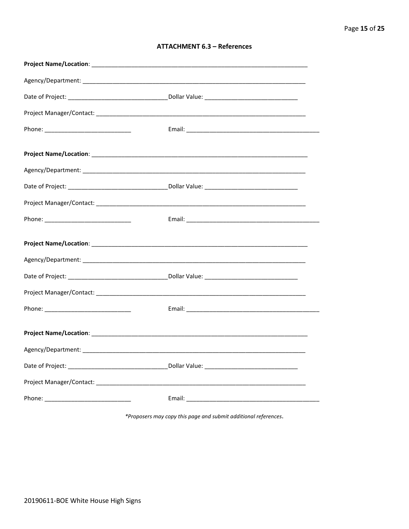| <b>ATTACHMENT 6.3 - References</b> |  |  |
|------------------------------------|--|--|
|------------------------------------|--|--|

\*Proposers may copy this page and submit additional references.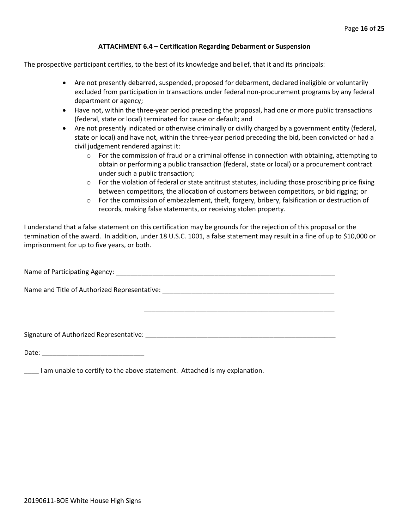# **ATTACHMENT 6.4 – Certification Regarding Debarment or Suspension**

The prospective participant certifies, to the best of its knowledge and belief, that it and its principals:

- Are not presently debarred, suspended, proposed for debarment, declared ineligible or voluntarily excluded from participation in transactions under federal non-procurement programs by any federal department or agency;
- Have not, within the three-year period preceding the proposal, had one or more public transactions (federal, state or local) terminated for cause or default; and
- Are not presently indicated or otherwise criminally or civilly charged by a government entity (federal, state or local) and have not, within the three-year period preceding the bid, been convicted or had a civil judgement rendered against it:
	- $\circ$  For the commission of fraud or a criminal offense in connection with obtaining, attempting to obtain or performing a public transaction (federal, state or local) or a procurement contract under such a public transaction;
	- $\circ$  For the violation of federal or state antitrust statutes, including those proscribing price fixing between competitors, the allocation of customers between competitors, or bid rigging; or
	- $\circ$  For the commission of embezzlement, theft, forgery, bribery, falsification or destruction of records, making false statements, or receiving stolen property.

\_\_\_\_\_\_\_\_\_\_\_\_\_\_\_\_\_\_\_\_\_\_\_\_\_\_\_\_\_\_\_\_\_\_\_\_\_\_\_\_\_\_\_\_\_\_\_\_\_\_\_\_

I understand that a false statement on this certification may be grounds for the rejection of this proposal or the termination of the award. In addition, under 18 U.S.C. 1001, a false statement may result in a fine of up to \$10,000 or imprisonment for up to five years, or both.

Name of Participating Agency: \_\_\_\_\_\_\_\_\_\_\_\_\_\_\_\_\_\_\_\_\_\_\_\_\_\_\_\_\_\_\_\_\_\_\_\_\_\_\_\_\_\_\_\_\_\_\_\_\_\_\_\_\_\_\_\_\_\_\_\_

Name and Title of Authorized Representative: \_\_\_\_\_\_\_\_\_\_\_\_\_\_\_\_\_\_\_\_\_\_\_\_\_\_\_\_\_\_\_\_\_\_\_\_\_\_\_\_\_\_\_\_\_\_\_

Signature of Authorized Representative: \_\_\_\_\_\_\_\_\_\_\_\_\_\_\_\_\_\_\_\_\_\_\_\_\_\_\_\_\_\_\_\_\_\_\_\_\_\_\_\_\_\_\_\_\_\_\_\_\_\_\_\_

Date: \_\_\_\_\_\_\_\_\_\_\_\_\_\_\_\_\_\_\_\_\_\_\_\_\_\_\_\_

\_\_\_\_ I am unable to certify to the above statement. Attached is my explanation.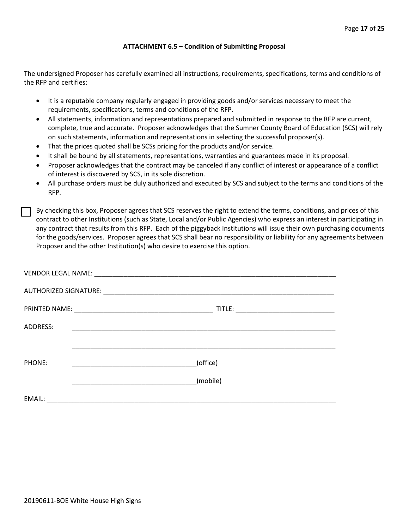# **ATTACHMENT 6.5 – Condition of Submitting Proposal**

The undersigned Proposer has carefully examined all instructions, requirements, specifications, terms and conditions of the RFP and certifies:

- It is a reputable company regularly engaged in providing goods and/or services necessary to meet the requirements, specifications, terms and conditions of the RFP.
- All statements, information and representations prepared and submitted in response to the RFP are current, complete, true and accurate. Proposer acknowledges that the Sumner County Board of Education (SCS) will rely on such statements, information and representations in selecting the successful proposer(s).
- That the prices quoted shall be SCSs pricing for the products and/or service.
- It shall be bound by all statements, representations, warranties and guarantees made in its proposal.
- Proposer acknowledges that the contract may be canceled if any conflict of interest or appearance of a conflict of interest is discovered by SCS, in its sole discretion.
- All purchase orders must be duly authorized and executed by SCS and subject to the terms and conditions of the RFP.

By checking this box, Proposer agrees that SCS reserves the right to extend the terms, conditions, and prices of this contract to other Institutions (such as State, Local and/or Public Agencies) who express an interest in participating in any contract that results from this RFP. Each of the piggyback Institutions will issue their own purchasing documents for the goods/services. Proposer agrees that SCS shall bear no responsibility or liability for any agreements between Proposer and the other Institution(s) who desire to exercise this option.

| ADDRESS: | <u> 1990 - Johann John Stone, markin film yn y system yn y system yn y system yn y system yn y system yn y system</u> |
|----------|-----------------------------------------------------------------------------------------------------------------------|
|          |                                                                                                                       |
| PHONE:   | (office)                                                                                                              |
|          | (mobile)                                                                                                              |
| EMAIL:   | <u> 2000 - 2000 - 2000 - 2000 - 2000 - 2000 - 2000 - 2000 - 2000 - 2000 - 2000 - 2000 - 2000 - 2000 - 2000 - 200</u>  |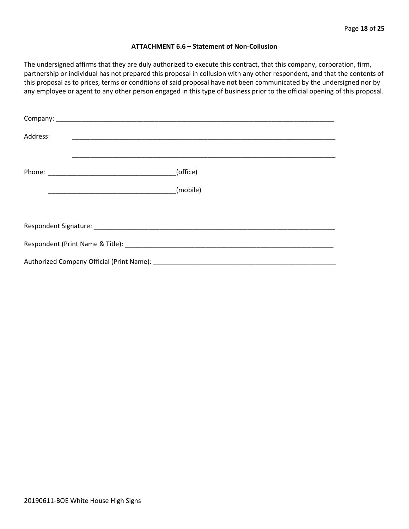#### **ATTACHMENT 6.6 – Statement of Non-Collusion**

The undersigned affirms that they are duly authorized to execute this contract, that this company, corporation, firm, partnership or individual has not prepared this proposal in collusion with any other respondent, and that the contents of this proposal as to prices, terms or conditions of said proposal have not been communicated by the undersigned nor by any employee or agent to any other person engaged in this type of business prior to the official opening of this proposal.

| Address: |          |
|----------|----------|
|          | (office) |
|          | (mobile) |
|          |          |
|          |          |
|          |          |
|          |          |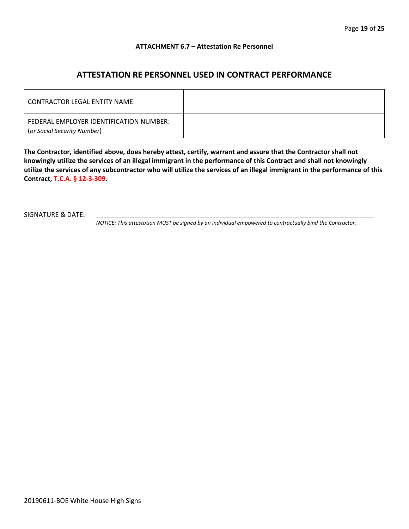# **ATTACHMENT 6.7 – Attestation Re Personnel**

# **ATTESTATION RE PERSONNEL USED IN CONTRACT PERFORMANCE**

| CONTRACTOR LEGAL ENTITY NAME:                                          |  |
|------------------------------------------------------------------------|--|
| FEDERAL EMPLOYER IDENTIFICATION NUMBER:<br>(or Social Security Number) |  |

**The Contractor, identified above, does hereby attest, certify, warrant and assure that the Contractor shall not knowingly utilize the services of an illegal immigrant in the performance of this Contract and shall not knowingly utilize the services of any subcontractor who will utilize the services of an illegal immigrant in the performance of this Contract, T.C.A. § 12-3-309.**

SIGNATURE & DATE:

*NOTICE: This attestation MUST be signed by an individual empowered to contractually bind the Contractor.*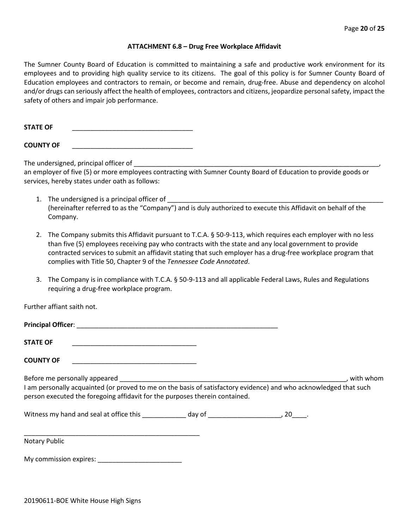#### **ATTACHMENT 6.8 – Drug Free Workplace Affidavit**

The Sumner County Board of Education is committed to maintaining a safe and productive work environment for its employees and to providing high quality service to its citizens. The goal of this policy is for Sumner County Board of Education employees and contractors to remain, or become and remain, drug-free. Abuse and dependency on alcohol and/or drugs can seriously affect the health of employees, contractors and citizens, jeopardize personal safety, impact the safety of others and impair job performance.

STATE OF

**COUNTY OF** \_\_\_\_\_\_\_\_\_\_\_\_\_\_\_\_\_\_\_\_\_\_\_\_\_\_\_\_\_\_\_\_\_

The undersigned, principal officer of

an employer of five (5) or more employees contracting with Sumner County Board of Education to provide goods or services, hereby states under oath as follows:

- 1. The undersigned is a principal officer of (hereinafter referred to as the "Company") and is duly authorized to execute this Affidavit on behalf of the Company.
- 2. The Company submits this Affidavit pursuant to T.C.A. § 50-9-113, which requires each employer with no less than five (5) employees receiving pay who contracts with the state and any local government to provide contracted services to submit an affidavit stating that such employer has a drug-free workplace program that complies with Title 50, Chapter 9 of the *Tennessee Code Annotated*.
- 3. The Company is in compliance with T.C.A. § 50-9-113 and all applicable Federal Laws, Rules and Regulations requiring a drug-free workplace program.

Further affiant saith not.

| <b>STATE OF</b>                                                                                                                                                                                  |  |           |
|--------------------------------------------------------------------------------------------------------------------------------------------------------------------------------------------------|--|-----------|
| <b>COUNTY OF</b>                                                                                                                                                                                 |  |           |
| I am personally acquainted (or proved to me on the basis of satisfactory evidence) and who acknowledged that such<br>person executed the foregoing affidavit for the purposes therein contained. |  | with whom |
|                                                                                                                                                                                                  |  |           |
|                                                                                                                                                                                                  |  |           |

Notary Public

My commission expires: \_\_\_\_\_\_\_\_\_\_\_\_\_\_\_\_\_\_\_\_\_\_\_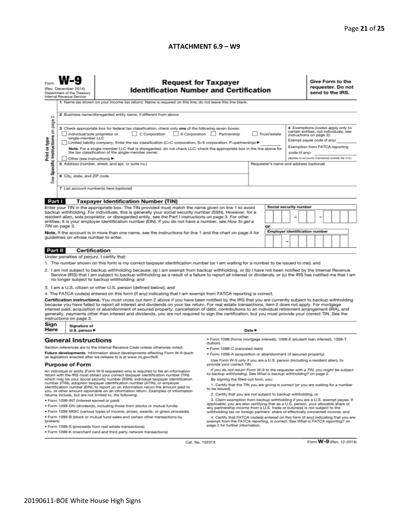# **ATTACHMENT 6.9 – W9**

|                                                                                                                                                                                                                                                                                                                                                                                                                                                                                                                                                                                                                                                                                                                                                                                                                                                                                                                                                                                                                                                                                                                                                                                                                                                                                                                                                                | <b>Request for Taxpayer</b><br>(Rev. December 2014)<br><b>Identification Number and Certification</b><br>Department of the Treasury<br>Internal Revenue Service<br>1 Name (as shown on your income tax return). Name is required on this line; do not leave this line blank.                                                                                                                                                                                                                                                                                                                                                                                                                                                                                                                                                                                                                                                                                                                                                      |                                                                                                                                                                                                                                                                                                                                                                                                                                                                                    |                                 |  |  |  |   |                                                                                                                                                                                                                              | Give Form to the<br>requester. Do not<br>send to the IRS. |  |  |  |  |
|----------------------------------------------------------------------------------------------------------------------------------------------------------------------------------------------------------------------------------------------------------------------------------------------------------------------------------------------------------------------------------------------------------------------------------------------------------------------------------------------------------------------------------------------------------------------------------------------------------------------------------------------------------------------------------------------------------------------------------------------------------------------------------------------------------------------------------------------------------------------------------------------------------------------------------------------------------------------------------------------------------------------------------------------------------------------------------------------------------------------------------------------------------------------------------------------------------------------------------------------------------------------------------------------------------------------------------------------------------------|-----------------------------------------------------------------------------------------------------------------------------------------------------------------------------------------------------------------------------------------------------------------------------------------------------------------------------------------------------------------------------------------------------------------------------------------------------------------------------------------------------------------------------------------------------------------------------------------------------------------------------------------------------------------------------------------------------------------------------------------------------------------------------------------------------------------------------------------------------------------------------------------------------------------------------------------------------------------------------------------------------------------------------------|------------------------------------------------------------------------------------------------------------------------------------------------------------------------------------------------------------------------------------------------------------------------------------------------------------------------------------------------------------------------------------------------------------------------------------------------------------------------------------|---------------------------------|--|--|--|---|------------------------------------------------------------------------------------------------------------------------------------------------------------------------------------------------------------------------------|-----------------------------------------------------------|--|--|--|--|
| N<br>Specific Instructions on page<br>Print or type<br>See                                                                                                                                                                                                                                                                                                                                                                                                                                                                                                                                                                                                                                                                                                                                                                                                                                                                                                                                                                                                                                                                                                                                                                                                                                                                                                     | 2 Business name/disregarded entity name, if different from above<br>3 Check appropriate box for federal tax classification; check only one of the following seven boxes:<br>C Corporation<br>S Corporation Partnership<br>Trust/estate<br>Individual/sole proprietor or<br>single-member LLC<br>Limited liability company. Enter the tax classification (C=C corporation, S=S corporation, P=partnership) ▶<br>Note. For a single-member LLC that is disregarded, do not check LLC; check the appropriate box in the line above for<br>the tax classification of the single-member owner.<br>code (if any)<br>Other (see instructions) ▶<br>5 Address (number, street, and apt. or suite no.)<br>Requester's name and address (optional)<br>6 City, state, and ZIP code<br>7 List account number(s) here (optional)                                                                                                                                                                                                               |                                                                                                                                                                                                                                                                                                                                                                                                                                                                                    |                                 |  |  |  |   | 4 Exemptions (codes apply only to<br>certain entities, not individuals; see<br>instructions on page 3):<br>Exempt payee code (if any)<br>Exemption from FATCA reporting<br>(Applies to accounts maintained outside the U.S.) |                                                           |  |  |  |  |
|                                                                                                                                                                                                                                                                                                                                                                                                                                                                                                                                                                                                                                                                                                                                                                                                                                                                                                                                                                                                                                                                                                                                                                                                                                                                                                                                                                |                                                                                                                                                                                                                                                                                                                                                                                                                                                                                                                                                                                                                                                                                                                                                                                                                                                                                                                                                                                                                                   |                                                                                                                                                                                                                                                                                                                                                                                                                                                                                    |                                 |  |  |  |   |                                                                                                                                                                                                                              |                                                           |  |  |  |  |
| Part I<br><b>Taxpayer Identification Number (TIN)</b><br>Social security number<br>Enter your TIN in the appropriate box. The TIN provided must match the name given on line 1 to avoid<br>backup withholding. For individuals, this is generally your social security number (SSN). However, for a<br>resident alien, sole proprietor, or disregarded entity, see the Part I instructions on page 3. For other<br>entities, it is your employer identification number (EIN). If you do not have a number, see How to get a<br>TIN on page 3.<br>or<br>Employer identification number<br>Note. If the account is in more than one name, see the instructions for line 1 and the chart on page 4 for<br>guidelines on whose number to enter.                                                                                                                                                                                                                                                                                                                                                                                                                                                                                                                                                                                                                    |                                                                                                                                                                                                                                                                                                                                                                                                                                                                                                                                                                                                                                                                                                                                                                                                                                                                                                                                                                                                                                   |                                                                                                                                                                                                                                                                                                                                                                                                                                                                                    |                                 |  |  |  |   |                                                                                                                                                                                                                              |                                                           |  |  |  |  |
|                                                                                                                                                                                                                                                                                                                                                                                                                                                                                                                                                                                                                                                                                                                                                                                                                                                                                                                                                                                                                                                                                                                                                                                                                                                                                                                                                                |                                                                                                                                                                                                                                                                                                                                                                                                                                                                                                                                                                                                                                                                                                                                                                                                                                                                                                                                                                                                                                   |                                                                                                                                                                                                                                                                                                                                                                                                                                                                                    |                                 |  |  |  | - |                                                                                                                                                                                                                              |                                                           |  |  |  |  |
| Part II                                                                                                                                                                                                                                                                                                                                                                                                                                                                                                                                                                                                                                                                                                                                                                                                                                                                                                                                                                                                                                                                                                                                                                                                                                                                                                                                                        | <b>Certification</b><br>Under penalties of perjury, I certify that:                                                                                                                                                                                                                                                                                                                                                                                                                                                                                                                                                                                                                                                                                                                                                                                                                                                                                                                                                               |                                                                                                                                                                                                                                                                                                                                                                                                                                                                                    |                                 |  |  |  |   |                                                                                                                                                                                                                              |                                                           |  |  |  |  |
| 1. The number shown on this form is my correct taxpayer identification number (or I am waiting for a number to be issued to me); and<br>2. I am not subject to backup withholding because: (a) I am exempt from backup withholding, or (b) I have not been notified by the Internal Revenue<br>Service (IRS) that I am subject to backup withholding as a result of a failure to report all interest or dividends, or (c) the IRS has notified me that I am<br>no longer subject to backup withholding; and<br>3. I am a U.S. citizen or other U.S. person (defined below); and<br>4. The FATCA code(s) entered on this form (if any) indicating that I am exempt from FATCA reporting is correct.<br>Certification instructions. You must cross out item 2 above if you have been notified by the IRS that you are currently subject to backup withholding<br>because you have failed to report all interest and dividends on your tax return. For real estate transactions, item 2 does not apply. For mortgage<br>interest paid, acquisition or abandonment of secured property, cancellation of debt, contributions to an individual retirement arrangement (IRA), and<br>generally, payments other than interest and dividends, you are not required to sign the certification, but you must provide your correct TIN. See the<br>instructions on page 3. |                                                                                                                                                                                                                                                                                                                                                                                                                                                                                                                                                                                                                                                                                                                                                                                                                                                                                                                                                                                                                                   |                                                                                                                                                                                                                                                                                                                                                                                                                                                                                    |                                 |  |  |  |   |                                                                                                                                                                                                                              |                                                           |  |  |  |  |
| Sign                                                                                                                                                                                                                                                                                                                                                                                                                                                                                                                                                                                                                                                                                                                                                                                                                                                                                                                                                                                                                                                                                                                                                                                                                                                                                                                                                           | Signature of                                                                                                                                                                                                                                                                                                                                                                                                                                                                                                                                                                                                                                                                                                                                                                                                                                                                                                                                                                                                                      |                                                                                                                                                                                                                                                                                                                                                                                                                                                                                    |                                 |  |  |  |   |                                                                                                                                                                                                                              |                                                           |  |  |  |  |
| Here<br>U.S. person ▶<br>Date P<br>· Form 1098 (home mortgage interest), 1098-E (student Ioan interest), 1098-T<br><b>General Instructions</b><br>(tuition)<br>Section references are to the Internal Revenue Code unless otherwise noted.<br>• Form 1099-C (canceled debt)                                                                                                                                                                                                                                                                                                                                                                                                                                                                                                                                                                                                                                                                                                                                                                                                                                                                                                                                                                                                                                                                                    |                                                                                                                                                                                                                                                                                                                                                                                                                                                                                                                                                                                                                                                                                                                                                                                                                                                                                                                                                                                                                                   |                                                                                                                                                                                                                                                                                                                                                                                                                                                                                    |                                 |  |  |  |   |                                                                                                                                                                                                                              |                                                           |  |  |  |  |
| Future developments. Information about developments affecting Form W-9 (such<br>as legislation enacted after we release it) is at www.irs.gov/fw9.<br><b>Purpose of Form</b><br>An individual or entity (Form W-9 requester) who is required to file an information<br>return with the IRS must obtain your correct taxpayer identification number (TIN)<br>which may be your social security number (SSN), individual taxpayer identification<br>number (ITIN), adoption taxpayer identification number (ATIN), or employer<br>identification number (EIN), to report on an information return the amount paid to                                                                                                                                                                                                                                                                                                                                                                                                                                                                                                                                                                                                                                                                                                                                             |                                                                                                                                                                                                                                                                                                                                                                                                                                                                                                                                                                                                                                                                                                                                                                                                                                                                                                                                                                                                                                   | . Form 1099-A (acquisition or abandonment of secured property)<br>Use Form W-9 only if you are a U.S. person (including a resident alien), to<br>provide your correct TIN.<br>If you do not return Form W-9 to the requester with a TIN, you might be subject<br>to backup withholding. See What is backup withholding? on page 2.<br>By signing the filled-out form, you:<br>1. Certify that the TIN you are giving is correct (or you are waiting for a number<br>to be issued). |                                 |  |  |  |   |                                                                                                                                                                                                                              |                                                           |  |  |  |  |
|                                                                                                                                                                                                                                                                                                                                                                                                                                                                                                                                                                                                                                                                                                                                                                                                                                                                                                                                                                                                                                                                                                                                                                                                                                                                                                                                                                | you, or other amount reportable on an information return. Examples of information<br>2. Certify that you are not subject to backup withholding, or<br>returns include, but are not limited to, the following:<br>3. Claim exemption from backup withholding if you are a U.S. exempt payee. If<br>· Form 1099-INT (interest earned or paid)<br>applicable, you are also certifying that as a U.S. person, your allocable share of<br>. Form 1099-DIV (dividends, including those from stocks or mutual funds)<br>any partnership income from a U.S. trade or business is not subject to the<br>* Form 1099-MISC (various types of income, prizes, awards, or gross proceeds)<br>withholding tax on foreign partners' share of effectively connected income, and<br>. Form 1099-B (stock or mutual fund sales and certain other transactions by<br>4. Certify that FATCA code(s) entered on this form (if any) indicating that you are<br>brokers)<br>exempt from the FATCA reporting, is correct. See What is FATCA reporting? on |                                                                                                                                                                                                                                                                                                                                                                                                                                                                                    |                                 |  |  |  |   |                                                                                                                                                                                                                              |                                                           |  |  |  |  |
|                                                                                                                                                                                                                                                                                                                                                                                                                                                                                                                                                                                                                                                                                                                                                                                                                                                                                                                                                                                                                                                                                                                                                                                                                                                                                                                                                                |                                                                                                                                                                                                                                                                                                                                                                                                                                                                                                                                                                                                                                                                                                                                                                                                                                                                                                                                                                                                                                   | · Form 1099-S (proceeds from real estate transactions)<br>. Form 1099-K (merchant card and third party network transactions)                                                                                                                                                                                                                                                                                                                                                       | page 2 for further information. |  |  |  |   |                                                                                                                                                                                                                              |                                                           |  |  |  |  |

Cat. No. 10231X

Form **W-9** (Rev. 12-2014)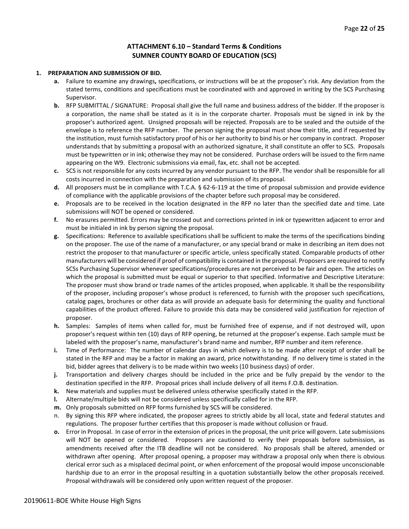# **ATTACHMENT 6.10 – Standard Terms & Conditions SUMNER COUNTY BOARD OF EDUCATION (SCS)**

#### **1. PREPARATION AND SUBMISSION OF BID.**

- **a.** Failure to examine any drawings**,** specifications, or instructions will be at the proposer's risk. Any deviation from the stated terms, conditions and specifications must be coordinated with and approved in writing by the SCS Purchasing Supervisor.
- **b.** RFP SUBMITTAL / SIGNATURE: Proposal shall give the full name and business address of the bidder. If the proposer is a corporation, the name shall be stated as it is in the corporate charter. Proposals must be signed in ink by the proposer's authorized agent. Unsigned proposals will be rejected. Proposals are to be sealed and the outside of the envelope is to reference the RFP number. The person signing the proposal must show their title, and if requested by the institution, must furnish satisfactory proof of his or her authority to bind his or her company in contract. Proposer understands that by submitting a proposal with an authorized signature, it shall constitute an offer to SCS. Proposals must be typewritten or in ink; otherwise they may not be considered. Purchase orders will be issued to the firm name appearing on the W9. Electronic submissions via email, fax, etc. shall not be accepted.
- **c.** SCS is not responsible for any costs incurred by any vendor pursuant to the RFP. The vendor shall be responsible for all costs incurred in connection with the preparation and submission of its proposal.
- **d.** All proposers must be in compliance with T.C.A. § 62-6-119 at the time of proposal submission and provide evidence of compliance with the applicable provisions of the chapter before such proposal may be considered.
- **e.** Proposals are to be received in the location designated in the RFP no later than the specified date and time. Late submissions will NOT be opened or considered.
- **f.** No erasures permitted. Errors may be crossed out and corrections printed in ink or typewritten adjacent to error and must be initialed in ink by person signing the proposal.
- **g.** Specifications: Reference to available specifications shall be sufficient to make the terms of the specifications binding on the proposer. The use of the name of a manufacturer, or any special brand or make in describing an item does not restrict the proposer to that manufacturer or specific article, unless specifically stated. Comparable products of other manufacturers will be considered if proof of compatibility is contained in the proposal. Proposers are required to notify SCSs Purchasing Supervisor whenever specifications/procedures are not perceived to be fair and open. The articles on which the proposal is submitted must be equal or superior to that specified. Informative and Descriptive Literature: The proposer must show brand or trade names of the articles proposed, when applicable. It shall be the responsibility of the proposer, including proposer's whose product is referenced, to furnish with the proposer such specifications, catalog pages, brochures or other data as will provide an adequate basis for determining the quality and functional capabilities of the product offered. Failure to provide this data may be considered valid justification for rejection of proposer.
- **h.** Samples: Samples of items when called for, must be furnished free of expense, and if not destroyed will, upon proposer's request within ten (10) days of RFP opening, be returned at the proposer's expense. Each sample must be labeled with the proposer's name, manufacturer's brand name and number, RFP number and item reference.
- **i.** Time of Performance: The number of calendar days in which delivery is to be made after receipt of order shall be stated in the RFP and may be a factor in making an award, price notwithstanding. If no delivery time is stated in the bid, bidder agrees that delivery is to be made within two weeks (10 business days) of order.
- **j.** Transportation and delivery charges should be included in the price and be fully prepaid by the vendor to the destination specified in the RFP. Proposal prices shall include delivery of all items F.O.B. destination.
- **k.** New materials and supplies must be delivered unless otherwise specifically stated in the RFP.
- **l.** Alternate/multiple bids will not be considered unless specifically called for in the RFP.
- **m.** Only proposals submitted on RFP forms furnished by SCS will be considered.
- n. By signing this RFP where indicated, the proposer agrees to strictly abide by all local, state and federal statutes and regulations. The proposer further certifies that this proposer is made without collusion or fraud.
- **o.** Error in Proposal. In case of error in the extension of prices in the proposal, the unit price will govern. Late submissions will NOT be opened or considered. Proposers are cautioned to verify their proposals before submission, as amendments received after the ITB deadline will not be considered. No proposals shall be altered, amended or withdrawn after opening. After proposal opening, a proposer may withdraw a proposal only when there is obvious clerical error such as a misplaced decimal point, or when enforcement of the proposal would impose unconscionable hardship due to an error in the proposal resulting in a quotation substantially below the other proposals received. Proposal withdrawals will be considered only upon written request of the proposer.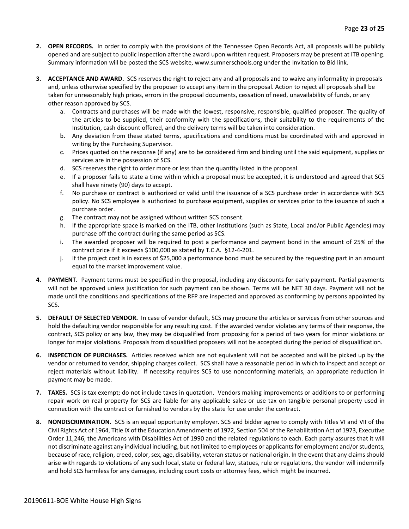- **2. OPEN RECORDS.** In order to comply with the provisions of the Tennessee Open Records Act, all proposals will be publicly opened and are subject to public inspection after the award upon written request. Proposers may be present at ITB opening. Summary information will be posted the SCS website, www.sumnerschools.org under the Invitation to Bid link.
- **3. ACCEPTANCE AND AWARD.** SCS reserves the right to reject any and all proposals and to waive any informality in proposals and, unless otherwise specified by the proposer to accept any item in the proposal. Action to reject all proposals shall be taken for unreasonably high prices, errors in the proposal documents, cessation of need, unavailability of funds, or any other reason approved by SCS.
	- a. Contracts and purchases will be made with the lowest, responsive, responsible, qualified proposer. The quality of the articles to be supplied, their conformity with the specifications, their suitability to the requirements of the Institution, cash discount offered, and the delivery terms will be taken into consideration.
	- b. Any deviation from these stated terms, specifications and conditions must be coordinated with and approved in writing by the Purchasing Supervisor.
	- c. Prices quoted on the response (if any) are to be considered firm and binding until the said equipment, supplies or services are in the possession of SCS.
	- d. SCS reserves the right to order more or less than the quantity listed in the proposal.
	- e. If a proposer fails to state a time within which a proposal must be accepted, it is understood and agreed that SCS shall have ninety (90) days to accept.
	- f. No purchase or contract is authorized or valid until the issuance of a SCS purchase order in accordance with SCS policy. No SCS employee is authorized to purchase equipment, supplies or services prior to the issuance of such a purchase order.
	- g. The contract may not be assigned without written SCS consent.
	- h. If the appropriate space is marked on the ITB, other Institutions (such as State, Local and/or Public Agencies) may purchase off the contract during the same period as SCS.
	- i. The awarded proposer will be required to post a performance and payment bond in the amount of 25% of the contract price if it exceeds \$100,000 as stated by T.C.A. §12-4-201.
	- j. If the project cost is in excess of \$25,000 a performance bond must be secured by the requesting part in an amount equal to the market improvement value.
- **4. PAYMENT**. Payment terms must be specified in the proposal, including any discounts for early payment. Partial payments will not be approved unless justification for such payment can be shown. Terms will be NET 30 days. Payment will not be made until the conditions and specifications of the RFP are inspected and approved as conforming by persons appointed by SCS.
- **5. DEFAULT OF SELECTED VENDOR.** In case of vendor default, SCS may procure the articles or services from other sources and hold the defaulting vendor responsible for any resulting cost. If the awarded vendor violates any terms of their response, the contract, SCS policy or any law, they may be disqualified from proposing for a period of two years for minor violations or longer for major violations. Proposals from disqualified proposers will not be accepted during the period of disqualification.
- **6. INSPECTION OF PURCHASES.** Articles received which are not equivalent will not be accepted and will be picked up by the vendor or returned to vendor, shipping charges collect. SCS shall have a reasonable period in which to inspect and accept or reject materials without liability. If necessity requires SCS to use nonconforming materials, an appropriate reduction in payment may be made.
- **7. TAXES.** SCS is tax exempt; do not include taxes in quotation. Vendors making improvements or additions to or performing repair work on real property for SCS are liable for any applicable sales or use tax on tangible personal property used in connection with the contract or furnished to vendors by the state for use under the contract.
- **8. NONDISCRIMINATION.** SCS is an equal opportunity employer. SCS and bidder agree to comply with Titles VI and VII of the Civil Rights Act of 1964, Title IX of the Education Amendments of 1972, Section 504 of the Rehabilitation Act of 1973, Executive Order 11,246, the Americans with Disabilities Act of 1990 and the related regulations to each. Each party assures that it will not discriminate against any individual including, but not limited to employees or applicants for employment and/or students, because of race, religion, creed, color, sex, age, disability, veteran status or national origin. In the event that any claims should arise with regards to violations of any such local, state or federal law, statues, rule or regulations, the vendor will indemnify and hold SCS harmless for any damages, including court costs or attorney fees, which might be incurred.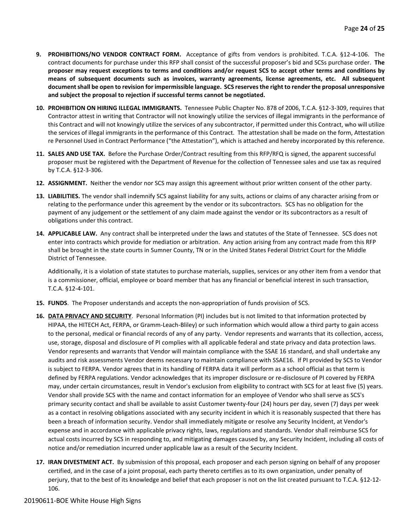- **9. PROHIBITIONS/NO VENDOR CONTRACT FORM.** Acceptance of gifts from vendors is prohibited. T.C.A. §12-4-106. The contract documents for purchase under this RFP shall consist of the successful proposer's bid and SCSs purchase order. **The proposer may request exceptions to terms and conditions and/or request SCS to accept other terms and conditions by means of subsequent documents such as invoices, warranty agreements, license agreements, etc. All subsequent document shall be open to revision for impermissible language. SCS reserves the right to render the proposal unresponsive and subject the proposal to rejection if successful terms cannot be negotiated.**
- **10. PROHIBITION ON HIRING ILLEGAL IMMIGRANTS.** Tennessee Public Chapter No. 878 of 2006, T.C.A. §12-3-309, requires that Contractor attest in writing that Contractor will not knowingly utilize the services of illegal immigrants in the performance of this Contract and will not knowingly utilize the services of any subcontractor, if permitted under this Contract, who will utilize the services of illegal immigrants in the performance of this Contract. The attestation shall be made on the form, Attestation re Personnel Used in Contract Performance ("the Attestation"), which is attached and hereby incorporated by this reference.
- **11. SALES AND USE TAX.** Before the Purchase Order/Contract resulting from this RFP/RFQ is signed, the apparent successful proposer must be registered with the Department of Revenue for the collection of Tennessee sales and use tax as required by T.C.A. §12-3-306.
- **12. ASSIGNMENT.** Neither the vendor nor SCS may assign this agreement without prior written consent of the other party.
- **13. LIABILITIES.** The vendor shall indemnify SCS against liability for any suits, actions or claims of any character arising from or relating to the performance under this agreement by the vendor or its subcontractors. SCS has no obligation for the payment of any judgement or the settlement of any claim made against the vendor or its subcontractors as a result of obligations under this contract.
- **14. APPLICABLE LAW.** Any contract shall be interpreted under the laws and statutes of the State of Tennessee. SCS does not enter into contracts which provide for mediation or arbitration. Any action arising from any contract made from this RFP shall be brought in the state courts in Sumner County, TN or in the United States Federal District Court for the Middle District of Tennessee.

Additionally, it is a violation of state statutes to purchase materials, supplies, services or any other item from a vendor that is a commissioner, official, employee or board member that has any financial or beneficial interest in such transaction, T.C.A. §12-4-101.

- **15. FUNDS**. The Proposer understands and accepts the non-appropriation of funds provision of SCS.
- **16. DATA PRIVACY AND SECURITY**. Personal Information (PI) includes but is not limited to that information protected by HIPAA, the HITECH Act, FERPA, or Gramm-Leach-Bliley) or such information which would allow a third party to gain access to the personal, medical or financial records of any of any party. Vendor represents and warrants that its collection, access, use, storage, disposal and disclosure of PI complies with all applicable federal and state privacy and data protection laws. Vendor represents and warrants that Vendor will maintain compliance with the SSAE 16 standard, and shall undertake any audits and risk assessments Vendor deems necessary to maintain compliance with SSAE16. If PI provided by SCS to Vendor is subject to FERPA. Vendor agrees that in its handling of FERPA data it will perform as a school official as that term is defined by FERPA regulations. Vendor acknowledges that its improper disclosure or re-disclosure of PI covered by FERPA may, under certain circumstances, result in Vendor's exclusion from eligibility to contract with SCS for at least five (5) years. Vendor shall provide SCS with the name and contact information for an employee of Vendor who shall serve as SCS's primary security contact and shall be available to assist Customer twenty-four (24) hours per day, seven (7) days per week as a contact in resolving obligations associated with any security incident in which it is reasonably suspected that there has been a breach of information security. Vendor shall immediately mitigate or resolve any Security Incident, at Vendor's expense and in accordance with applicable privacy rights, laws, regulations and standards. Vendor shall reimburse SCS for actual costs incurred by SCS in responding to, and mitigating damages caused by, any Security Incident, including all costs of notice and/or remediation incurred under applicable law as a result of the Security Incident.
- **17. IRAN DIVESTMENT ACT.** By submission of this proposal, each proposer and each person signing on behalf of any proposer certified, and in the case of a joint proposal, each party thereto certifies as to its own organization, under penalty of perjury, that to the best of its knowledge and belief that each proposer is not on the list created pursuant to T.C.A. §12-12- 106.